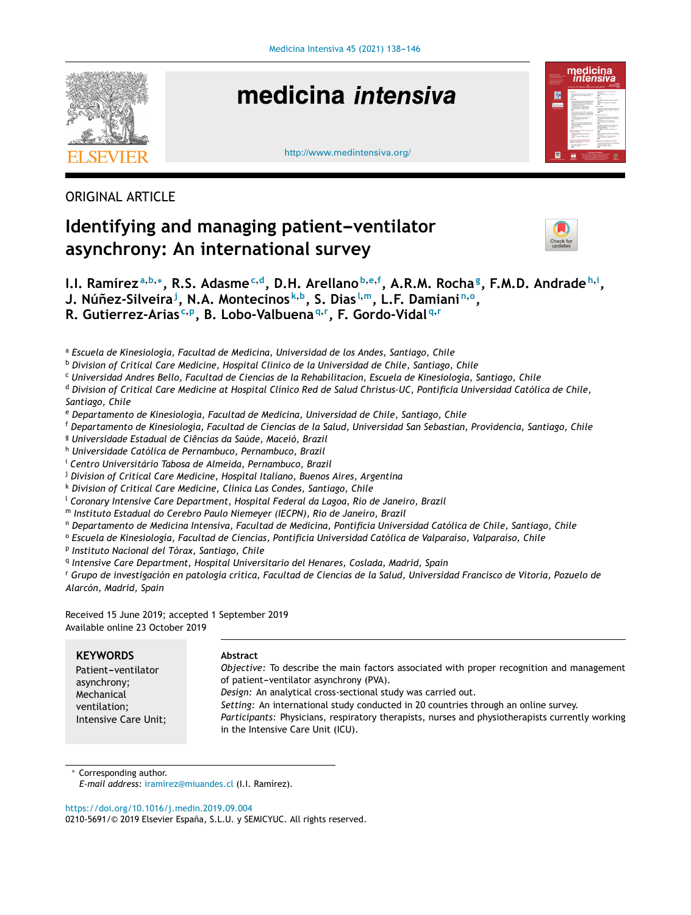

# medicina intensiva





### ORIGINAL ARTICLE

## **Identifying and managing patient-ventilator asynchrony: An international survey**



I.I. Ramírez<sup>a,b,</sup>\*, R.S. Adasme<sup>c,d</sup>, D.H. Arellano<sup>b,e,f</sup>, A.R.M. Rocha<sup>g</sup>, F.M.D. Andrade<sup>h,i</sup>,  $\mathsf{J}.$  <code>Núñez-Silveira $^{\mathsf{j}}$ , N.A. Montecinos $^{\mathsf{k},\mathsf{b}}$ , S. Dias $^{\mathsf{l},\mathsf{m}}$ , L.F. Damiani $^{\mathsf{n},\mathsf{o}},$ </code> **R. Gutierrez-Arias <sup>c</sup>**,**<sup>p</sup> , B. Lobo-Valbuena <sup>q</sup>**,**<sup>r</sup> , F. Gordo-Vidal <sup>q</sup>**,**<sup>r</sup>**

<sup>a</sup> *Escuela de Kinesiología, Facultad de Medicina, Universidad de los Andes, Santiago, Chile*

<sup>b</sup> *Division of Critical Care Medicine, Hospital Clinico de la Universidad de Chile, Santiago, Chile*

<sup>c</sup> *Universidad Andres Bello, Facultad de Ciencias de la Rehabilitacion, Escuela de Kinesiología, Santiago, Chile*

<sup>d</sup> Division of Critical Care Medicine at Hospital Clínico Red de Salud Christus-UC, Pontificia Universidad Católica de Chile, *Santiago, Chile*

<sup>e</sup> *Departamento de Kinesiología, Facultad de Medicina, Universidad de Chile, Santiago, Chile*

<sup>f</sup> Departamento de Kinesiologia, Facultad de Ciencias de la Salud, Universidad San Sebastian, Providencia, Santiago, Chile

<sup>g</sup> *Universidade Estadual de Ciências da Saúde, Maceió, Brazil*

<sup>h</sup> *Universidade Católica de Pernambuco, Pernambuco, Brazil*

<sup>i</sup> *Centro Universitário Tabosa de Almeida, Pernambuco, Brazil*

<sup>j</sup> *Division of Critical Care Medicine, Hospital Italiano, Buenos Aires, Argentina*

<sup>k</sup> *Division of Critical Care Medicine, Clinica Las Condes, Santiago, Chile*

<sup>l</sup> *Coronary Intensive Care Department, Hospital Federal da Lagoa, Rio de Janeiro, Brazil*

<sup>m</sup> *Instituto Estadual do Cerebro Paulo Niemeyer (IECPN), Rio de Janeiro, Brazil*

<sup>n</sup> *Departamento de Medicina Intensiva, Facultad de Medicina, Pontificia Universidad Católica de Chile, Santiago, Chile*

<sup>o</sup> *Escuela de Kinesiología, Facultad de Ciencias, Pontificia Universidad Católica de Valparaíso, Valparaíso, Chile*

p *Instituto Nacional del Tórax, Santiago, Chile*

q *Intensive Care Department, Hospital Universitario del Henares, Coslada, Madrid, Spain*

<sup>r</sup> Grupo de investigación en patología crítica, Facultad de Ciencias de la Salud, Universidad Francisco de Vitoria, Pozuelo de *Alarcón, Madrid, Spain*

Received 15 June 2019; accepted 1 September 2019 Available online 23 October 2019

| <b>KEYWORDS</b>                                    | Abstract                                                                                                                                                                                                                                                                                    |
|----------------------------------------------------|---------------------------------------------------------------------------------------------------------------------------------------------------------------------------------------------------------------------------------------------------------------------------------------------|
| Patient-ventilator                                 | <i>Objective:</i> To describe the main factors associated with proper recognition and management                                                                                                                                                                                            |
| asynchrony;                                        | of patient-ventilator asynchrony (PVA).                                                                                                                                                                                                                                                     |
| Mechanical<br>ventilation;<br>Intensive Care Unit; | Design: An analytical cross-sectional study was carried out.<br>Setting: An international study conducted in 20 countries through an online survey.<br>Participants: Physicians, respiratory therapists, nurses and physiotherapists currently working<br>in the Intensive Care Unit (ICU). |

Corresponding author.

*E-mail address:* [iramirez@miuandes.cl](mailto:iramirez@miuandes.cl) (I.I. Ramírez).

<https://doi.org/10.1016/j.medin.2019.09.004>

0210-5691/© 2019 Elsevier España, S.L.U. y SEMICYUC. All rights reserved.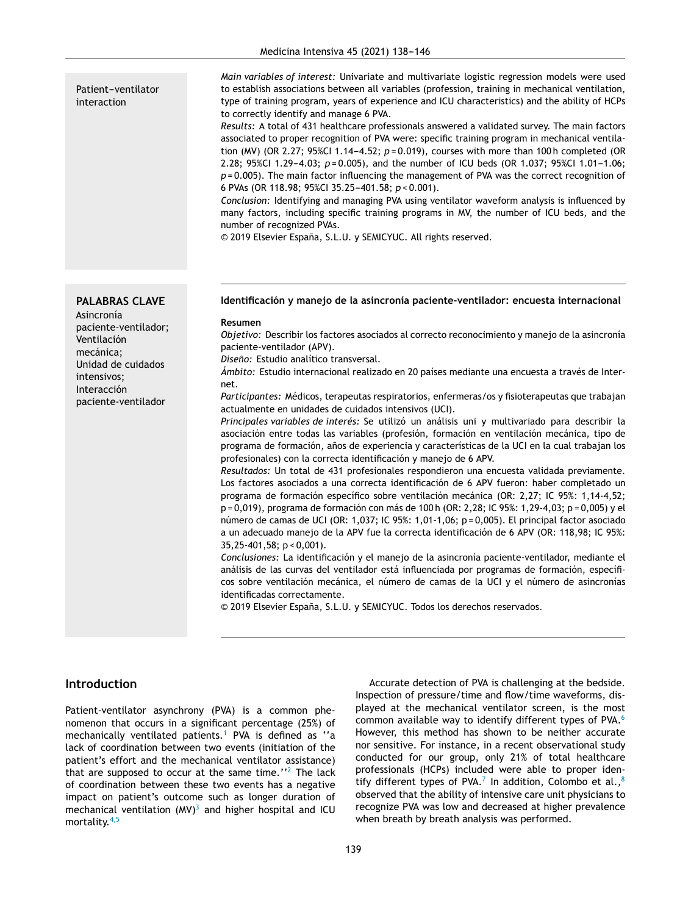#### Patient-ventilator interaction

**PALABRAS CLAVE** 

paciente-ventilador;

Unidad de cuidados

paciente-ventilador

Asincronía

Ventilación mecánica;

intensivos; Interacción

#### *Main variables of interest:* Univariate and multivariate logistic regression models were used to establish associations between all variables (profession, training in mechanical ventilation, type of training program, years of experience and ICU characteristics) and the ability of HCPs to correctly identify and manage 6 PVA.

*Results:* A total of 431 healthcare professionals answered a validated survey. The main factors associated to proper recognition of PVA were: specific training program in mechanical ventilation (MV) (OR 2.27; 95%Cl 1.14-4.52;  $p = 0.019$ ), courses with more than 100 h completed (OR 2.28; 95%CI 1.29-4.03;  $p = 0.005$ ), and the number of ICU beds (OR 1.037; 95%CI 1.01-1.06; *p* = 0.005). The main factor influencing the management of PVA was the correct recognition of 6 PVAs (OR 118.98; 95%CI 35.25-401.58;  $p < 0.001$ ).

*Conclusion:* Identifying and managing PVA using ventilator waveform analysis is influenced by many factors, including specific training programs in MV, the number of ICU beds, and the number of recognized PVAs.

© 2019 Elsevier España, S.L.U. y SEMICYUC. All rights reserved.

**Identificación y manejo de la asincronía paciente-ventilador: encuesta internacional**

#### **Resumen**

*Objetivo:* Describir los factores asociados al correcto reconocimiento y manejo de la asincronía paciente-ventilador (APV).

*Diseno: ˜* Estudio analítico transversal.

*Ámbito:* Estudio internacional realizado en 20 países mediante una encuesta a través de Internet.

*Participantes:* Médicos, terapeutas respiratorios, enfermeras/os y fisioterapeutas que trabajan actualmente en unidades de cuidados intensivos (UCI).

*Principales variables de interés:* Se utilizó un análisis uni y multivariado para describir la asociación entre todas las variables (profesión, formación en ventilación mecánica, tipo de programa de formación, años de experiencia y características de la UCI en la cual trabajan los profesionales) con la correcta identificación y manejo de 6 APV.

*Resultados:* Un total de 431 profesionales respondieron una encuesta validada previamente. Los factores asociados a una correcta identificación de 6 APV fueron: haber completado un programa de formación específico sobre ventilación mecánica (OR: 2,27; IC 95%: 1,14-4,52; p = 0,019), programa de formación con más de 100 h (OR: 2,28; IC 95%: 1,29-4,03; p = 0,005) y el número de camas de UCI (OR: 1,037; IC 95%: 1,01-1,06; p = 0,005). El principal factor asociado a un adecuado manejo de la APV fue la correcta identificación de 6 APV (OR: 118,98; IC 95%: 35,25-401,58; p < 0,001).

*Conclusiones:* La identificación y el manejo de la asincronía paciente-ventilador, mediante el análisis de las curvas del ventilador está influenciada por programas de formación, específicos sobre ventilación mecánica, el número de camas de la UCI y el número de asincronías identificadas correctamente.

© 2019 Elsevier España, S.L.U. y SEMICYUC. Todos los derechos reservados.

#### **Introduction**

Patient-ventilator asynchrony (PVA) is a common phenomenon that occurs in a significant percentage (25%) of mechanically ventilated patients.<sup>[1](#page-8-0)</sup> PVA is defined as "a lack of coordination between two events (initiation of the patient's effort and the mechanical ventilator assistance) that are supposed to occur at the same time."<sup>[2](#page-8-0)</sup> The lack of coordination between these two events has a negative impact on patient's outcome such as longer duration of mechanical ventilation  $(MV)^3$  $(MV)^3$  and higher hospital and ICU mortality.[4,5](#page-8-0)

Accurate detection of PVA is challenging at the bedside. Inspection of pressure/time and flow/time waveforms, displayed at the mechanical ventilator screen, is the most common available way to identify different types of PVA.[6](#page-8-0) However, this method has shown to be neither accurate nor sensitive. For instance, in a recent observational study conducted for our group, only 21% of total healthcare professionals (HCPs) included were able to proper iden-tify different types of PVA.<sup>[7](#page-8-0)</sup> In addition, Colombo et al.,<sup>[8](#page-8-0)</sup> observed that the ability of intensive care unit physicians to recognize PVA was low and decreased at higher prevalence when breath by breath analysis was performed.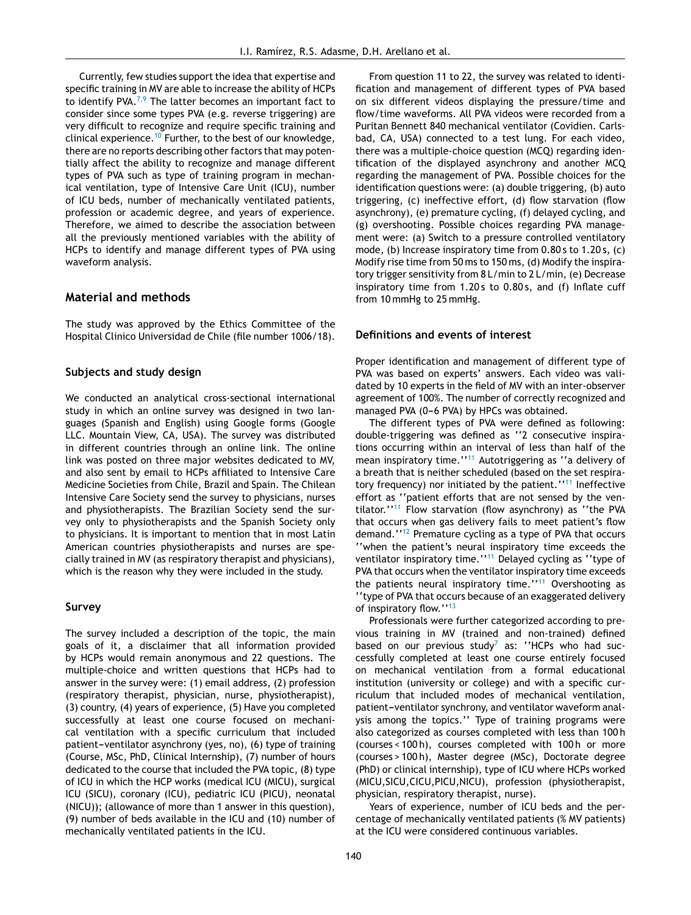Currently, few studies support the idea that expertise and specific training in MV are able to increase the ability of HCPs to identify PVA. $^{7,9}$  $^{7,9}$  $^{7,9}$  The latter becomes an important fact to consider since some types PVA (e.g. reverse triggering) are very difficult to recognize and require specific training and clinical experience.<sup>[10](#page-8-0)</sup> Further, to the best of our knowledge, there are no reports describing other factors that may potentially affect the ability to recognize and manage different types of PVA such as type of training program in mechanical ventilation, type of Intensive Care Unit (ICU), number of ICU beds, number of mechanically ventilated patients, profession or academic degree, and years of experience. Therefore, we aimed to describe the association between all the previously mentioned variables with the ability of HCPs to identify and manage different types of PVA using waveform analysis.

#### **Material and methods**

The study was approved by the Ethics Committee of the Hospital Clinico Universidad de Chile (file number 1006/18).

#### **Subjects and study design**

We conducted an analytical cross-sectional international study in which an online survey was designed in two languages (Spanish and English) using Google forms (Google LLC. Mountain View, CA, USA). The survey was distributed in different countries through an online link. The online link was posted on three major websites dedicated to MV, and also sent by email to HCPs affiliated to Intensive Care Medicine Societies from Chile, Brazil and Spain. The Chilean Intensive Care Society send the survey to physicians, nurses and physiotherapists. The Brazilian Society send the survey only to physiotherapists and the Spanish Society only to physicians. It is important to mention that in most Latin American countries physiotherapists and nurses are specially trained in MV (as respiratory therapist and physicians), which is the reason why they were included in the study.

#### **Survey**

The survey included a description of the topic, the main goals of it, a disclaimer that all information provided by HCPs would remain anonymous and 22 questions. The multiple-choice and written questions that HCPs had to answer in the survey were: (1) email address, (2) profession (respiratory therapist, physician, nurse, physiotherapist), (3) country, (4) years of experience, (5) Have you completed successfully at least one course focused on mechanical ventilation with a specific curriculum that included patient-ventilator asynchrony (yes, no), (6) type of training (Course, MSc, PhD, Clinical Internship), (7) number of hours dedicated to the course that included the PVA topic, (8) type of ICU in which the HCP works (medical ICU (MICU), surgical ICU (SICU), coronary (ICU), pediatric ICU (PICU), neonatal (NICU)); (allowance of more than 1 answer in this question), (9) number of beds available in the ICU and (10) number of mechanically ventilated patients in the ICU.

From question 11 to 22, the survey was related to identification and management of different types of PVA based on six different videos displaying the pressure/time and flow/time waveforms. All PVA videos were recorded from a Puritan Bennett 840 mechanical ventilator (Covidien. Carlsbad, CA, USA) connected to a test lung. For each video, there was a multiple-choice question (MCQ) regarding identification of the displayed asynchrony and another MCQ regarding the management of PVA. Possible choices for the identification questions were: (a) double triggering, (b) auto triggering, (c) ineffective effort, (d) flow starvation (flow asynchrony), (e) premature cycling, (f) delayed cycling, and (g) overshooting. Possible choices regarding PVA management were: (a) Switch to a pressure controlled ventilatory mode, (b) Increase inspiratory time from 0.80 s to 1.20 s, (c) Modify rise time from 50 ms to 150 ms, (d) Modify the inspiratory trigger sensitivity from 8 L/min to 2 L/min, (e) Decrease inspiratory time from 1.20s to 0.80s, and (f) Inflate cuff from 10 mmHg to 25 mmHg.

#### **Definitions and events of interest**

Proper identification and management of different type of PVA was based on experts' answers. Each video was validated by 10 experts in the field of MV with an inter-observer agreement of 100%. The number of correctly recognized and managed PVA (0-6 PVA) by HPCs was obtained.

The different types of PVA were defined as following: double-triggering was defined as ''2 consecutive inspirations occurring within an interval of less than half of the mean inspiratory time.''[11](#page-8-0) Autotriggering as ''a delivery of a breath that is neither scheduled (based on the set respiratory frequency) nor initiated by the patient.''[11](#page-8-0) Ineffective effort as ''patient efforts that are not sensed by the ventilator.''[11](#page-8-0) Flow starvation (flow asynchrony) as ''the PVA that occurs when gas delivery fails to meet patient's flow demand.''[12](#page-8-0) Premature cycling as a type of PVA that occurs ''when the patient's neural inspiratory time exceeds the ventilator inspiratory time."<sup>[11](#page-8-0)</sup> Delayed cycling as "type of PVA that occurs when the ventilator inspiratory time exceeds the patients neural inspiratory time."<sup>[11](#page-8-0)</sup> Overshooting as ''type of PVA that occurs because of an exaggerated delivery of inspiratory flow.''[13](#page-8-0)

Professionals were further categorized according to previous training in MV (trained and non-trained) defined based on our previous study<sup>[7](#page-8-0)</sup> as: "HCPs who had successfully completed at least one course entirely focused on mechanical ventilation from a formal educational institution (university or college) and with a specific curriculum that included modes of mechanical ventilation, patient-ventilator synchrony, and ventilator waveform analysis among the topics.'' Type of training programs were also categorized as courses completed with less than 100 h (courses < 100 h), courses completed with 100 h or more (courses > 100 h), Master degree (MSc), Doctorate degree (PhD) or clinical internship), type of ICU where HCPs worked (MICU,SICU,CICU,PICU,NICU), profession (physiotherapist, physician, respiratory therapist, nurse).

Years of experience, number of ICU beds and the percentage of mechanically ventilated patients (% MV patients) at the ICU were considered continuous variables.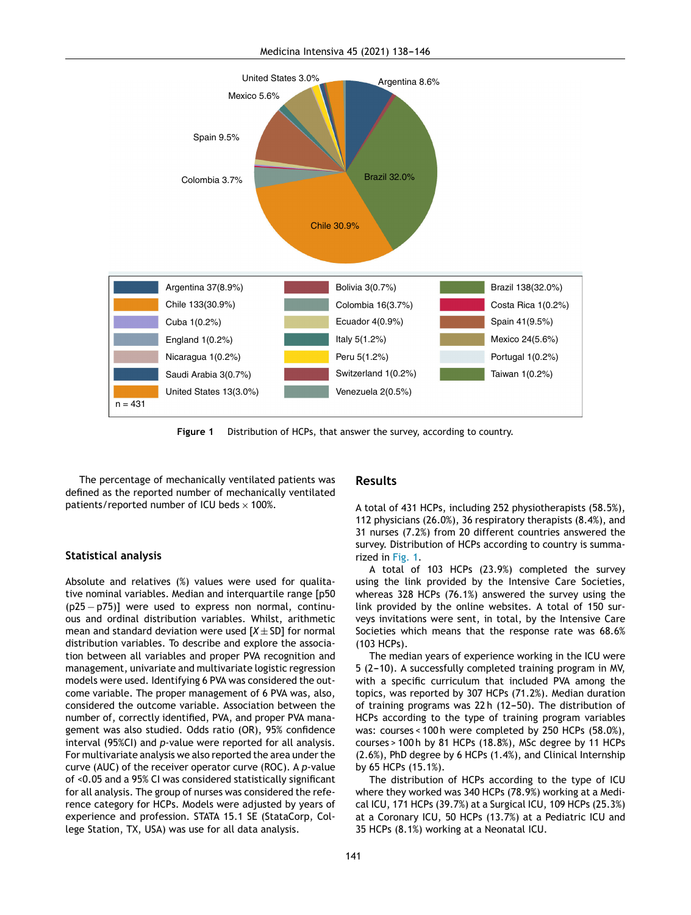

**Figure 1** Distribution of HCPs, that answer the survey, according to country.

The percentage of mechanically ventilated patients was defined as the reported number of mechanically ventilated patients/reported number of ICU beds  $\times$  100%.

#### **Statistical analysis**

Absolute and relatives (%) values were used for qualitative nominal variables. Median and interquartile range [p50 (p25 − p75)] were used to express non normal, continuous and ordinal distribution variables. Whilst, arithmetic mean and standard deviation were used  $[X \pm SD]$  for normal distribution variables. To describe and explore the association between all variables and proper PVA recognition and management, univariate and multivariate logistic regression models were used. Identifying 6 PVA was considered the outcome variable. The proper management of 6 PVA was, also, considered the outcome variable. Association between the number of, correctly identified, PVA, and proper PVA management was also studied. Odds ratio (OR), 95% confidence interval (95%CI) and *p*-value were reported for all analysis. For multivariate analysis we also reported the area under the curve (AUC) of the receiver operator curve (ROC). A *p*-value of <0.05 and a 95% CI was considered statistically significant for all analysis. The group of nurses was considered the reference category for HCPs. Models were adjusted by years of experience and profession. STATA 15.1 SE (StataCorp, College Station, TX, USA) was use for all data analysis.

#### **Results**

A total of 431 HCPs, including 252 physiotherapists (58.5%), 112 physicians (26.0%), 36 respiratory therapists (8.4%), and 31 nurses (7.2%) from 20 different countries answered the survey. Distribution of HCPs according to country is summarized in Fig. 1.

A total of 103 HCPs (23.9%) completed the survey using the link provided by the Intensive Care Societies, whereas 328 HCPs (76.1%) answered the survey using the link provided by the online websites. A total of 150 surveys invitations were sent, in total, by the Intensive Care Societies which means that the response rate was 68.6% (103 HCPs).

The median years of experience working in the ICU were 5 (2-10). A successfully completed training program in MV, with a specific curriculum that included PVA among the topics, was reported by 307 HCPs (71.2%). Median duration of training programs was  $22 h$  (12-50). The distribution of HCPs according to the type of training program variables was: courses < 100 h were completed by 250 HCPs (58.0%), courses > 100 h by 81 HCPs (18.8%), MSc degree by 11 HCPs (2.6%), PhD degree by 6 HCPs (1.4%), and Clinical Internship by 65 HCPs (15.1%).

The distribution of HCPs according to the type of ICU where they worked was 340 HCPs (78.9%) working at a Medical ICU, 171 HCPs (39.7%) at a Surgical ICU, 109 HCPs (25.3%) at a Coronary ICU, 50 HCPs (13.7%) at a Pediatric ICU and 35 HCPs (8.1%) working at a Neonatal ICU.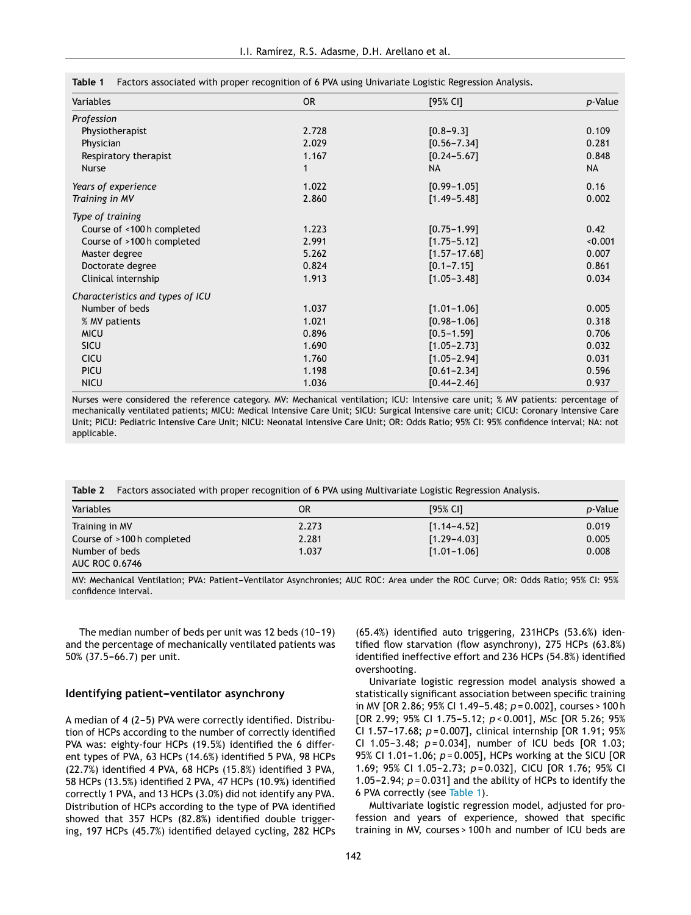| Variables                        | <b>OR</b> | [95% CI]         | p-Value   |
|----------------------------------|-----------|------------------|-----------|
| Profession                       |           |                  |           |
| Physiotherapist                  | 2.728     | $[0.8 - 9.3]$    | 0.109     |
| Physician                        | 2.029     | $[0.56 - 7.34]$  | 0.281     |
| Respiratory therapist            | 1.167     | $[0.24 - 5.67]$  | 0.848     |
| Nurse                            | 1         | <b>NA</b>        | <b>NA</b> |
| Years of experience              | 1.022     | $[0.99 - 1.05]$  | 0.16      |
| Training in MV                   | 2.860     | $[1.49 - 5.48]$  | 0.002     |
| Type of training                 |           |                  |           |
| Course of <100 h completed       | 1.223     | $[0.75 - 1.99]$  | 0.42      |
| Course of >100 h completed       | 2.991     | $[1.75 - 5.12]$  | < 0.001   |
| Master degree                    | 5.262     | $[1.57 - 17.68]$ | 0.007     |
| Doctorate degree                 | 0.824     | $[0.1 - 7.15]$   | 0.861     |
| Clinical internship              | 1.913     | $[1.05 - 3.48]$  | 0.034     |
| Characteristics and types of ICU |           |                  |           |
| Number of beds                   | 1.037     | $[1.01 - 1.06]$  | 0.005     |
| % MV patients                    | 1.021     | $[0.98 - 1.06]$  | 0.318     |
| <b>MICU</b>                      | 0.896     | $[0.5 - 1.59]$   | 0.706     |
| <b>SICU</b>                      | 1.690     | $[1.05 - 2.73]$  | 0.032     |
| <b>CICU</b>                      | 1.760     | $[1.05 - 2.94]$  | 0.031     |
| PICU                             | 1.198     | $[0.61 - 2.34]$  | 0.596     |
| <b>NICU</b>                      | 1.036     | $[0.44 - 2.46]$  | 0.937     |
|                                  |           |                  |           |

<span id="page-4-0"></span>**Table 1** Factors associated with proper recognition of 6 PVA using Univariate Logistic Regression Analysis.

Nurses were considered the reference category. MV: Mechanical ventilation; ICU: Intensive care unit; % MV patients: percentage of mechanically ventilated patients; MICU: Medical Intensive Care Unit; SICU: Surgical Intensive care unit; CICU: Coronary Intensive Care Unit; PICU: Pediatric Intensive Care Unit; NICU: Neonatal Intensive Care Unit; OR: Odds Ratio; 95% CI: 95% confidence interval; NA: not applicable.

**Table 2** Factors associated with proper recognition of 6 PVA using Multivariate Logistic Regression Analysis.

| Variables                  | 0R    | [95% CI]        | <i>p</i> -Value |
|----------------------------|-------|-----------------|-----------------|
| Training in MV             | 2.273 | $[1.14 - 4.52]$ | 0.019           |
| Course of >100 h completed | 2.281 | $[1.29 - 4.03]$ | 0.005           |
| Number of beds             | 1.037 | $[1.01 - 1.06]$ | 0.008           |
| <b>AUC ROC 0.6746</b>      |       |                 |                 |

MV: Mechanical Ventilation; PVA: Patient-Ventilator Asynchronies; AUC ROC: Area under the ROC Curve; OR: Odds Ratio; 95% CI: 95% confidence interval.

The median number of beds per unit was 12 beds  $(10-19)$ and the percentage of mechanically ventilated patients was 50% (37.5-66.7) per unit.

#### **Identifying patient-ventilator asynchrony**

A median of 4 (2-5) PVA were correctly identified. Distribution of HCPs according to the number of correctly identified PVA was: eighty-four HCPs (19.5%) identified the 6 different types of PVA, 63 HCPs (14.6%) identified 5 PVA, 98 HCPs (22.7%) identified 4 PVA, 68 HCPs (15.8%) identified 3 PVA, 58 HCPs (13.5%) identified 2 PVA, 47 HCPs (10.9%) identified correctly 1 PVA, and 13 HCPs (3.0%) did not identify any PVA. Distribution of HCPs according to the type of PVA identified showed that 357 HCPs (82.8%) identified double triggering, 197 HCPs (45.7%) identified delayed cycling, 282 HCPs

(65.4%) identified auto triggering, 231HCPs (53.6%) identified flow starvation (flow asynchrony), 275 HCPs (63.8%) identified ineffective effort and 236 HCPs (54.8%) identified overshooting.

Univariate logistic regression model analysis showed a statistically significant association between specific training in MV [OR 2.86; 95% CI 1.49-5.48;  $p = 0.002$ ], courses > 100 h [OR 2.99; 95% CI 1.75-5.12;  $p < 0.001$ ], MSc [OR 5.26; 95% CI 1.57-17.68;  $p = 0.007$ ], clinical internship [OR 1.91; 95% CI 1.05-3.48; *p*=0.034], number of ICU beds [OR 1.03; 95% CI 1.01-1.06;  $p = 0.005$ ], HCPs working at the SICU [OR 1.69; 95% CI 1.05-2.73;  $p = 0.032$ ], CICU [OR 1.76; 95% CI 1.05-2.94;  $p = 0.031$ ] and the ability of HCPs to identify the 6 PVA correctly (see Table 1).

Multivariate logistic regression model, adjusted for profession and years of experience, showed that specific training in MV, courses > 100 h and number of ICU beds are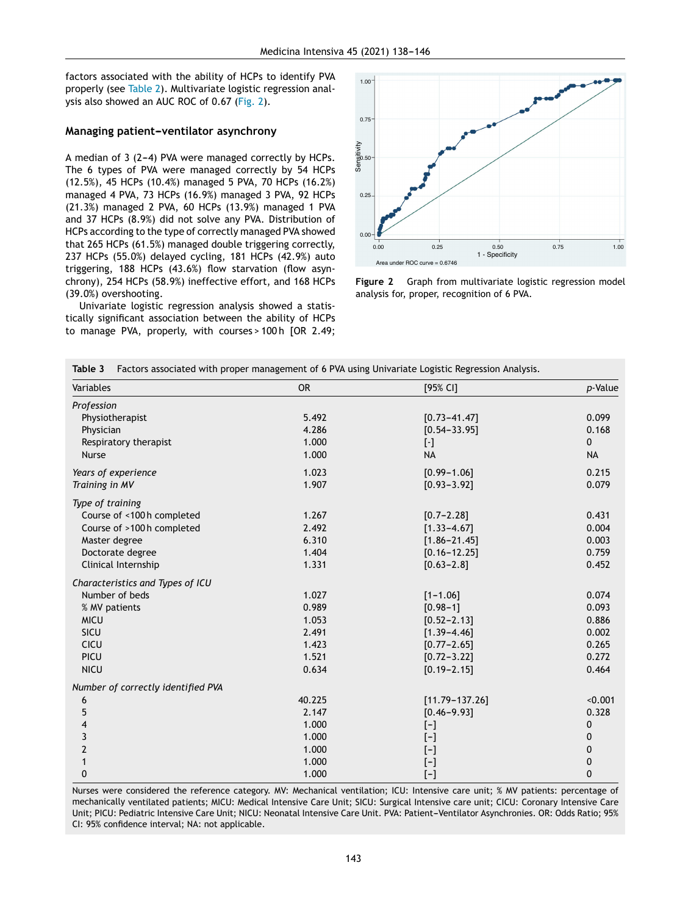<span id="page-5-0"></span>factors associated with the ability of HCPs to identify PVA properly (see [Table](#page-4-0) 2). Multivariate logistic regression analysis also showed an AUC ROC of 0.67 (Fig. 2).

#### **Managing patient-ventilator asynchrony**

A median of  $3$  (2-4) PVA were managed correctly by HCPs. The 6 types of PVA were managed correctly by 54 HCPs (12.5%), 45 HCPs (10.4%) managed 5 PVA, 70 HCPs (16.2%) managed 4 PVA, 73 HCPs (16.9%) managed 3 PVA, 92 HCPs (21.3%) managed 2 PVA, 60 HCPs (13.9%) managed 1 PVA and 37 HCPs (8.9%) did not solve any PVA. Distribution of HCPs according to the type of correctly managed PVA showed that 265 HCPs (61.5%) managed double triggering correctly, 237 HCPs (55.0%) delayed cycling, 181 HCPs (42.9%) auto triggering, 188 HCPs (43.6%) flow starvation (flow asynchrony), 254 HCPs (58.9%) ineffective effort, and 168 HCPs (39.0%) overshooting.

Univariate logistic regression analysis showed a statistically significant association between the ability of HCPs to manage PVA, properly, with courses > 100 h [OR 2.49;



**Figure 2** Graph from multivariate logistic regression model analysis for, proper, recognition of 6 PVA.

| Variables                          | <b>OR</b> | [95% CI]                                                                                                                                                                                                                                                                                                                                                                                                                                                                                                                                                                                             | p-Value   |
|------------------------------------|-----------|------------------------------------------------------------------------------------------------------------------------------------------------------------------------------------------------------------------------------------------------------------------------------------------------------------------------------------------------------------------------------------------------------------------------------------------------------------------------------------------------------------------------------------------------------------------------------------------------------|-----------|
| Profession                         |           |                                                                                                                                                                                                                                                                                                                                                                                                                                                                                                                                                                                                      |           |
| Physiotherapist                    | 5.492     | $[0.73 - 41.47]$                                                                                                                                                                                                                                                                                                                                                                                                                                                                                                                                                                                     | 0.099     |
| Physician                          | 4.286     | $[0.54 - 33.95]$                                                                                                                                                                                                                                                                                                                                                                                                                                                                                                                                                                                     | 0.168     |
| Respiratory therapist              | 1.000     | $[\cdot]$                                                                                                                                                                                                                                                                                                                                                                                                                                                                                                                                                                                            | 0         |
| <b>Nurse</b>                       | 1.000     | <b>NA</b>                                                                                                                                                                                                                                                                                                                                                                                                                                                                                                                                                                                            | <b>NA</b> |
| Years of experience                | 1.023     | $[0.99 - 1.06]$                                                                                                                                                                                                                                                                                                                                                                                                                                                                                                                                                                                      | 0.215     |
| Training in MV                     | 1.907     | $[0.93 - 3.92]$                                                                                                                                                                                                                                                                                                                                                                                                                                                                                                                                                                                      | 0.079     |
| Type of training                   |           |                                                                                                                                                                                                                                                                                                                                                                                                                                                                                                                                                                                                      |           |
| Course of <100 h completed         | 1.267     | $[0.7 - 2.28]$                                                                                                                                                                                                                                                                                                                                                                                                                                                                                                                                                                                       | 0.431     |
| Course of >100 h completed         | 2.492     | $[1.33 - 4.67]$                                                                                                                                                                                                                                                                                                                                                                                                                                                                                                                                                                                      | 0.004     |
| Master degree                      | 6.310     | $[1.86 - 21.45]$                                                                                                                                                                                                                                                                                                                                                                                                                                                                                                                                                                                     | 0.003     |
| Doctorate degree                   | 1.404     | $[0.16 - 12.25]$                                                                                                                                                                                                                                                                                                                                                                                                                                                                                                                                                                                     | 0.759     |
| Clinical Internship                | 1.331     | $[0.63 - 2.8]$                                                                                                                                                                                                                                                                                                                                                                                                                                                                                                                                                                                       | 0.452     |
| Characteristics and Types of ICU   |           |                                                                                                                                                                                                                                                                                                                                                                                                                                                                                                                                                                                                      |           |
| Number of beds                     | 1.027     | $[1 - 1.06]$                                                                                                                                                                                                                                                                                                                                                                                                                                                                                                                                                                                         | 0.074     |
| % MV patients                      | 0.989     | $[0.98 - 1]$                                                                                                                                                                                                                                                                                                                                                                                                                                                                                                                                                                                         | 0.093     |
| <b>MICU</b>                        | 1.053     | $[0.52 - 2.13]$                                                                                                                                                                                                                                                                                                                                                                                                                                                                                                                                                                                      | 0.886     |
| SICU                               | 2.491     | $[1.39 - 4.46]$                                                                                                                                                                                                                                                                                                                                                                                                                                                                                                                                                                                      | 0.002     |
| CICU                               | 1.423     | $[0.77 - 2.65]$                                                                                                                                                                                                                                                                                                                                                                                                                                                                                                                                                                                      | 0.265     |
| PICU                               | 1.521     | $[0.72 - 3.22]$                                                                                                                                                                                                                                                                                                                                                                                                                                                                                                                                                                                      | 0.272     |
| <b>NICU</b>                        | 0.634     | $[0.19 - 2.15]$                                                                                                                                                                                                                                                                                                                                                                                                                                                                                                                                                                                      | 0.464     |
| Number of correctly identified PVA |           |                                                                                                                                                                                                                                                                                                                                                                                                                                                                                                                                                                                                      |           |
| 6                                  | 40.225    | $[11.79 - 137.26]$                                                                                                                                                                                                                                                                                                                                                                                                                                                                                                                                                                                   | < 0.001   |
| 5                                  | 2.147     | $[0.46 - 9.93]$                                                                                                                                                                                                                                                                                                                                                                                                                                                                                                                                                                                      | 0.328     |
| 4                                  | 1.000     | $[-]$                                                                                                                                                                                                                                                                                                                                                                                                                                                                                                                                                                                                | 0         |
| 3                                  | 1.000     | $[-]$                                                                                                                                                                                                                                                                                                                                                                                                                                                                                                                                                                                                | 0         |
| $\overline{2}$                     | 1.000     | [-]                                                                                                                                                                                                                                                                                                                                                                                                                                                                                                                                                                                                  | 0         |
|                                    | 1.000     | $\left[ -\right] % \begin{minipage}[b]{.45\linewidth} \centering \centerline{\includegraphics[width=0.45\linewidth]{Rashn10000.pdf}} \centerline{\includegraphics[width=0.45\linewidth]{Rashn10000.pdf}} \centerline{\includegraphics[width=0.45\linewidth]{Rashn10000.pdf}} \centerline{\includegraphics[width=0.45\linewidth]{Rashn10000.pdf}} \centerline{\includegraphics[width=0.45\linewidth]{Rashn10000.pdf}} \centerline{\includegraphics[width=0.45\linewidth]{Rashn10000.pdf}} \centerline{\includegraphics[width=0.45\linewidth]{Rashn10000.pdf}} \centerline{\includegraphics[width=0.4$ | 0         |
| $\mathbf 0$                        | 1.000     | $\left[ -\right] % \includegraphics[width=0.9\textwidth]{images/TrDiS-Architecture.png} % \caption{The first two different values of $d$-error of the estimators in the image. The left two different values of $d$-error of the input and the right two different values of $d$-error of the input.} \label{TrDiS-Architecture} %$                                                                                                                                                                                                                                                                  | $\pmb{0}$ |

**Table 3** Factors associated with proper management of 6 PVA using Univariate Logistic Regression Analysis.

Nurses were considered the reference category. MV: Mechanical ventilation; ICU: Intensive care unit; % MV patients: percentage of mechanically ventilated patients; MICU: Medical Intensive Care Unit; SICU: Surgical Intensive care unit; CICU: Coronary Intensive Care Unit; PICU: Pediatric Intensive Care Unit; NICU: Neonatal Intensive Care Unit. PVA: Patient-Ventilator Asynchronies. OR: Odds Ratio; 95% CI: 95% confidence interval; NA: not applicable.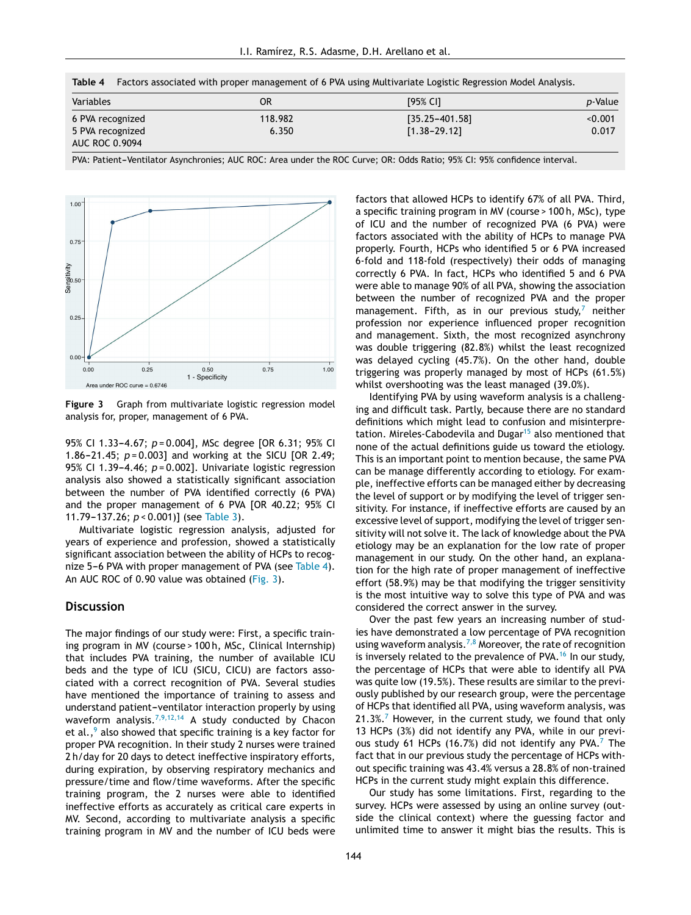**Table 4** Factors associated with proper management of 6 PVA using Multivariate Logistic Regression Model Analysis.

| Variables                                                     | OR               | [95% CI]                               | <i>p</i> -Value  |
|---------------------------------------------------------------|------------------|----------------------------------------|------------------|
| 6 PVA recognized<br>5 PVA recognized<br><b>AUC ROC 0.9094</b> | 118.982<br>6.350 | $[35.25 - 401.58]$<br>$[1.38 - 29.12]$ | < 0.001<br>0.017 |

PVA: Patient-Ventilator Asynchronies; AUC ROC: Area under the ROC Curve; OR: Odds Ratio; 95% CI: 95% confidence interval.



**Figure 3** Graph from multivariate logistic regression model analysis for, proper, management of 6 PVA.

95% CI 1.33-4.67;  $p = 0.004$ ], MSc degree [OR 6.31; 95% CI 1.86-21.45;  $p = 0.003$ ] and working at the SICU [OR 2.49; 95% CI 1.39-4.46;  $p = 0.002$ ]. Univariate logistic regression analysis also showed a statistically significant association between the number of PVA identified correctly (6 PVA) and the proper management of 6 PVA [OR 40.22; 95% CI 11.79-137.26;  $p < 0.001$ ] (see [Table](#page-5-0) 3).

Multivariate logistic regression analysis, adjusted for years of experience and profession, showed a statistically significant association between the ability of HCPs to recognize 5-6 PVA with proper management of PVA (see Table 4). An AUC ROC of 0.90 value was obtained (Fig. 3).

#### **Discussion**

The major findings of our study were: First, a specific training program in MV (course > 100 h, MSc, Clinical Internship) that includes PVA training, the number of available ICU beds and the type of ICU (SICU, CICU) are factors associated with a correct recognition of PVA. Several studies have mentioned the importance of training to assess and understand patient-ventilator interaction properly by using waveform analysis.<sup>[7,9,12,14](#page-8-0)</sup> A study conducted by Chacon et [a](#page-8-0)l., $9$  also showed that specific training is a key factor for proper PVA recognition. In their study 2 nurses were trained 2 h/day for 20 days to detect ineffective inspiratory efforts, during expiration, by observing respiratory mechanics and pressure/time and flow/time waveforms. After the specific training program, the 2 nurses were able to identified ineffective efforts as accurately as critical care experts in MV. Second, according to multivariate analysis a specific training program in MV and the number of ICU beds were factors that allowed HCPs to identify 67% of all PVA. Third, a specific training program in MV (course > 100 h, MSc), type of ICU and the number of recognized PVA (6 PVA) were factors associated with the ability of HCPs to manage PVA properly. Fourth, HCPs who identified 5 or 6 PVA increased 6-fold and 118-fold (respectively) their odds of managing correctly 6 PVA. In fact, HCPs who identified 5 and 6 PVA were able to manage 90% of all PVA, showing the association between the number of recognized PVA and the proper management. Fifth, as in our previous study,<sup>[7](#page-8-0)</sup> neither profession nor experience influenced proper recognition and management. Sixth, the most recognized asynchrony was double triggering (82.8%) whilst the least recognized was delayed cycling (45.7%). On the other hand, double triggering was properly managed by most of HCPs (61.5%) whilst overshooting was the least managed (39.0%).

Identifying PVA by using waveform analysis is a challenging and difficult task. Partly, because there are no standard definitions which might lead to confusion and misinterpre-tation. Mireles-Cabodevila and Dugar<sup>[15](#page-8-0)</sup> also mentioned that none of the actual definitions guide us toward the etiology. This is an important point to mention because, the same PVA can be manage differently according to etiology. For example, ineffective efforts can be managed either by decreasing the level of support or by modifying the level of trigger sensitivity. For instance, if ineffective efforts are caused by an excessive level of support, modifying the level of trigger sensitivity will not solve it. The lack of knowledge about the PVA etiology may be an explanation for the low rate of proper management in our study. On the other hand, an explanation for the high rate of proper management of ineffective effort (58.9%) may be that modifying the trigger sensitivity is the most intuitive way to solve this type of PVA and was considered the correct answer in the survey.

Over the past few years an increasing number of studies have demonstrated a low percentage of PVA recognition using waveform analysis.<sup>[7,8](#page-8-0)</sup> Moreover, the rate of recognition is inversely related to the prevalence of PVA.<sup>[16](#page-8-0)</sup> In our study, the percentage of HCPs that were able to identify all PVA was quite low (19.5%). These results are similar to the previously published by our research group, were the percentage of HCPs that identified all PVA, using waveform analysis, was  $21.3\%$ .<sup>[7](#page-8-0)</sup> However, in the current study, we found that only 13 HCPs (3%) did not identify any PVA, while in our previ-ous study 61 HCPs (16.[7](#page-8-0)%) did not identify any PVA.<sup>7</sup> The fact that in our previous study the percentage of HCPs without specific training was 43.4% versus a 28.8% of non-trained HCPs in the current study might explain this difference.

Our study has some limitations. First, regarding to the survey. HCPs were assessed by using an online survey (outside the clinical context) where the guessing factor and unlimited time to answer it might bias the results. This is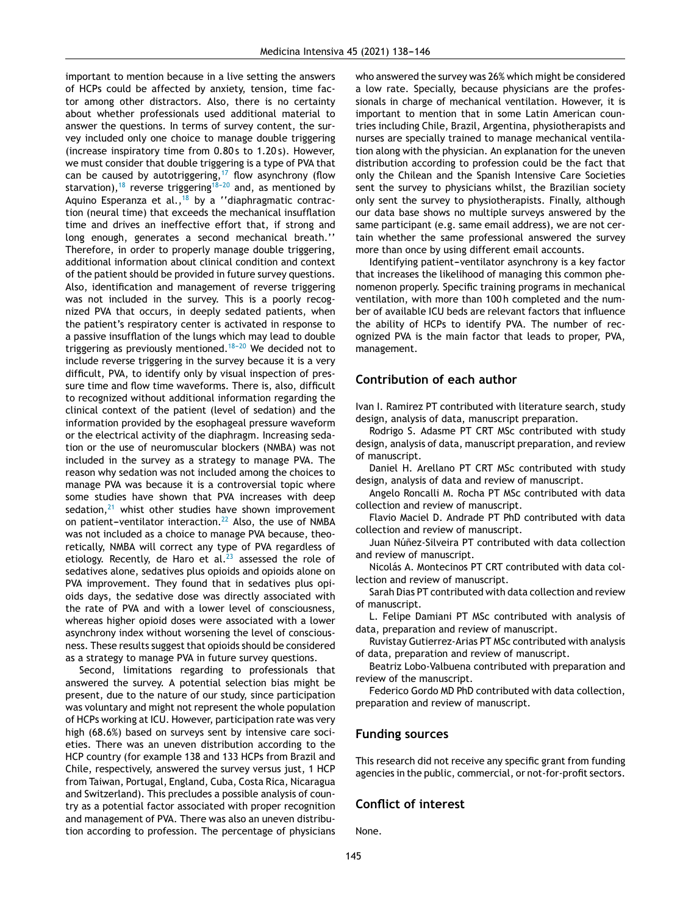important to mention because in a live setting the answers of HCPs could be affected by anxiety, tension, time factor among other distractors. Also, there is no certainty about whether professionals used additional material to answer the questions. In terms of survey content, the survey included only one choice to manage double triggering (increase inspiratory time from 0.80 s to 1.20 s). However, we must consider that double triggering is a type of PVA that can be caused by autotriggering,<sup>[17](#page-8-0)</sup> flow asynchrony (flow starvation),<sup>[18](#page-8-0)</sup> reverse triggering<sup>18-20</sup> and, as mentioned by Aquino Esperanza et al.,<sup>[18](#page-8-0)</sup> by a ''diaphragmatic contraction (neural time) that exceeds the mechanical insufflation time and drives an ineffective effort that, if strong and long enough, generates a second mechanical breath.'' Therefore, in order to properly manage double triggering, additional information about clinical condition and context of the patient should be provided in future survey questions. Also, identification and management of reverse triggering was not included in the survey. This is a poorly recognized PVA that occurs, in deeply sedated patients, when the patient's respiratory center is activated in response to a passive insufflation of the lungs which may lead to double triggering as previously mentioned.<sup>18-20</sup> We decided not to include reverse triggering in the survey because it is a very difficult, PVA, to identify only by visual inspection of pressure time and flow time waveforms. There is, also, difficult to recognized without additional information regarding the clinical context of the patient (level of sedation) and the information provided by the esophageal pressure waveform or the electrical activity of the diaphragm. Increasing sedation or the use of neuromuscular blockers (NMBA) was not included in the survey as a strategy to manage PVA. The reason why sedation was not included among the choices to manage PVA was because it is a controversial topic where some studies have shown that PVA increases with deep sedation, $21$  whist other studies have shown improvement on patient-ventilator interaction.<sup>[22](#page-8-0)</sup> Also, the use of NMBA was not included as a choice to manage PVA because, theoretically, NMBA will correct any type of PVA regardless of etiology. Recently, de Haro et al. $^{23}$  $^{23}$  $^{23}$  assessed the role of sedatives alone, sedatives plus opioids and opioids alone on PVA improvement. They found that in sedatives plus opioids days, the sedative dose was directly associated with the rate of PVA and with a lower level of consciousness, whereas higher opioid doses were associated with a lower asynchrony index without worsening the level of consciousness. These results suggest that opioids should be considered as a strategy to manage PVA in future survey questions.

Second, limitations regarding to professionals that answered the survey. A potential selection bias might be present, due to the nature of our study, since participation was voluntary and might not represent the whole population of HCPs working at ICU. However, participation rate was very high (68.6%) based on surveys sent by intensive care societies. There was an uneven distribution according to the HCP country (for example 138 and 133 HCPs from Brazil and Chile, respectively, answered the survey versus just, 1 HCP from Taiwan, Portugal, England, Cuba, Costa Rica, Nicaragua and Switzerland). This precludes a possible analysis of country as a potential factor associated with proper recognition and management of PVA. There was also an uneven distribution according to profession. The percentage of physicians

who answered the survey was 26% which might be considered a low rate. Specially, because physicians are the professionals in charge of mechanical ventilation. However, it is important to mention that in some Latin American countries including Chile, Brazil, Argentina, physiotherapists and nurses are specially trained to manage mechanical ventilation along with the physician. An explanation for the uneven distribution according to profession could be the fact that only the Chilean and the Spanish Intensive Care Societies sent the survey to physicians whilst, the Brazilian society only sent the survey to physiotherapists. Finally, although our data base shows no multiple surveys answered by the same participant (e.g. same email address), we are not certain whether the same professional answered the survey more than once by using different email accounts.

Identifying patient-ventilator asynchrony is a key factor that increases the likelihood of managing this common phenomenon properly. Specific training programs in mechanical ventilation, with more than 100 h completed and the number of available ICU beds are relevant factors that influence the ability of HCPs to identify PVA. The number of recognized PVA is the main factor that leads to proper, PVA, management.

#### **Contribution of each author**

Ivan I. Ramirez PT contributed with literature search, study design, analysis of data, manuscript preparation.

Rodrigo S. Adasme PT CRT MSc contributed with study design, analysis of data, manuscript preparation, and review of manuscript.

Daniel H. Arellano PT CRT MSc contributed with study design, analysis of data and review of manuscript.

Angelo Roncalli M. Rocha PT MSc contributed with data collection and review of manuscript.

Flavio Maciel D. Andrade PT PhD contributed with data collection and review of manuscript.

Juan Núñez-Silveira PT contributed with data collection and review of manuscript.

Nicolás A. Montecinos PT CRT contributed with data collection and review of manuscript.

Sarah Dias PT contributed with data collection and review of manuscript.

L. Felipe Damiani PT MSc contributed with analysis of data, preparation and review of manuscript.

Ruvistay Gutierrez-Arias PT MSc contributed with analysis of data, preparation and review of manuscript.

Beatriz Lobo-Valbuena contributed with preparation and review of the manuscript.

Federico Gordo MD PhD contributed with data collection, preparation and review of manuscript.

#### **Funding sources**

This research did not receive any specific grant from funding agencies in the public, commercial, or not-for-profit sectors.

#### **Conflict of interest**

None.